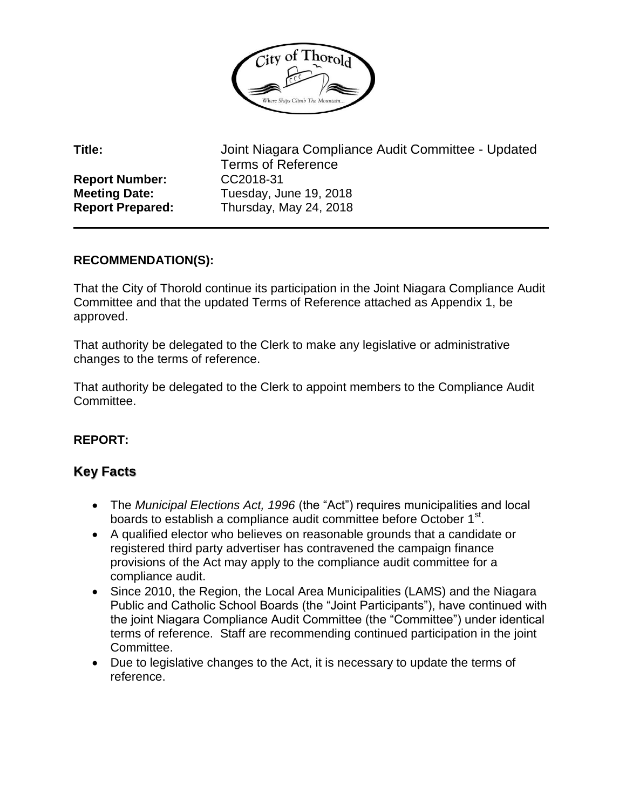

**Report Number:** CC2018-31

**Title:** Joint Niagara Compliance Audit Committee - Updated Terms of Reference **Meeting Date:** Tuesday, June 19, 2018 **Report Prepared:** Thursday, May 24, 2018

## **RECOMMENDATION(S):**

That the City of Thorold continue its participation in the Joint Niagara Compliance Audit Committee and that the updated Terms of Reference attached as Appendix 1, be approved.

That authority be delegated to the Clerk to make any legislative or administrative changes to the terms of reference.

That authority be delegated to the Clerk to appoint members to the Compliance Audit Committee.

# **REPORT:**

# **Key Facts**

- The *Municipal Elections Act, 1996* (the "Act") requires municipalities and local boards to establish a compliance audit committee before October 1<sup>st</sup>.
- A qualified elector who believes on reasonable grounds that a candidate or registered third party advertiser has contravened the campaign finance provisions of the Act may apply to the compliance audit committee for a compliance audit.
- Since 2010, the Region, the Local Area Municipalities (LAMS) and the Niagara Public and Catholic School Boards (the "Joint Participants"), have continued with the joint Niagara Compliance Audit Committee (the "Committee") under identical terms of reference. Staff are recommending continued participation in the joint Committee.
- Due to legislative changes to the Act, it is necessary to update the terms of reference.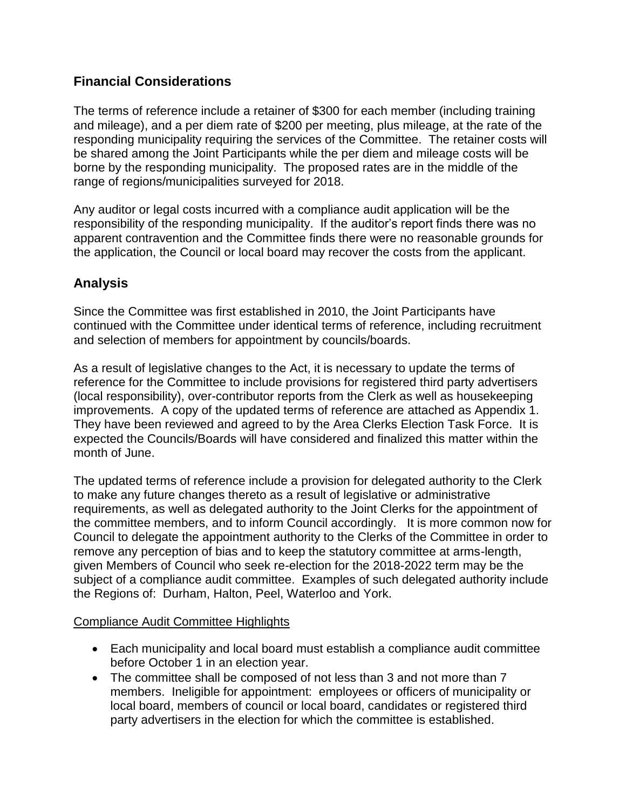# **Financial Considerations**

The terms of reference include a retainer of \$300 for each member (including training and mileage), and a per diem rate of \$200 per meeting, plus mileage, at the rate of the responding municipality requiring the services of the Committee. The retainer costs will be shared among the Joint Participants while the per diem and mileage costs will be borne by the responding municipality. The proposed rates are in the middle of the range of regions/municipalities surveyed for 2018.

Any auditor or legal costs incurred with a compliance audit application will be the responsibility of the responding municipality. If the auditor's report finds there was no apparent contravention and the Committee finds there were no reasonable grounds for the application, the Council or local board may recover the costs from the applicant.

# **Analysis**

Since the Committee was first established in 2010, the Joint Participants have continued with the Committee under identical terms of reference, including recruitment and selection of members for appointment by councils/boards.

As a result of legislative changes to the Act, it is necessary to update the terms of reference for the Committee to include provisions for registered third party advertisers (local responsibility), over-contributor reports from the Clerk as well as housekeeping improvements. A copy of the updated terms of reference are attached as Appendix 1. They have been reviewed and agreed to by the Area Clerks Election Task Force. It is expected the Councils/Boards will have considered and finalized this matter within the month of June.

The updated terms of reference include a provision for delegated authority to the Clerk to make any future changes thereto as a result of legislative or administrative requirements, as well as delegated authority to the Joint Clerks for the appointment of the committee members, and to inform Council accordingly. It is more common now for Council to delegate the appointment authority to the Clerks of the Committee in order to remove any perception of bias and to keep the statutory committee at arms-length, given Members of Council who seek re-election for the 2018-2022 term may be the subject of a compliance audit committee. Examples of such delegated authority include the Regions of: Durham, Halton, Peel, Waterloo and York.

#### Compliance Audit Committee Highlights

- Each municipality and local board must establish a compliance audit committee before October 1 in an election year.
- The committee shall be composed of not less than 3 and not more than 7 members. Ineligible for appointment: employees or officers of municipality or local board, members of council or local board, candidates or registered third party advertisers in the election for which the committee is established.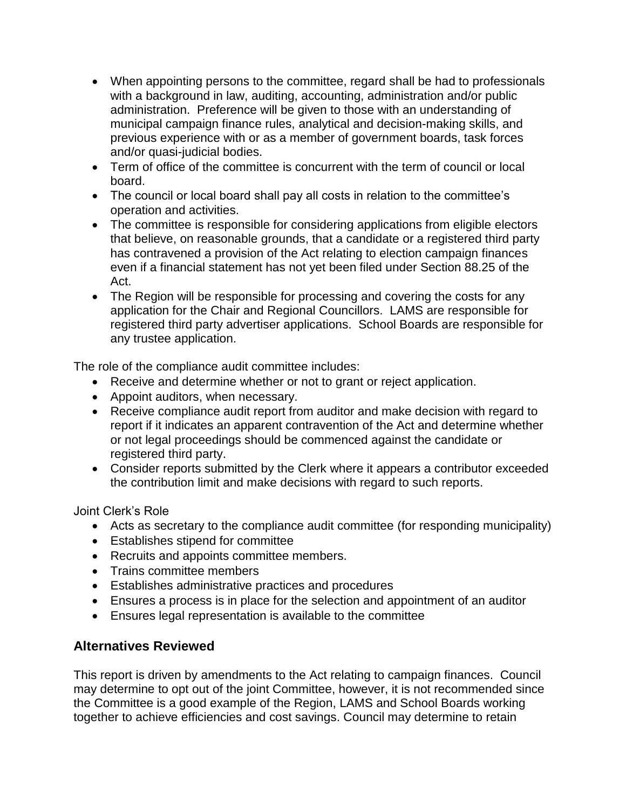- When appointing persons to the committee, regard shall be had to professionals with a background in law, auditing, accounting, administration and/or public administration. Preference will be given to those with an understanding of municipal campaign finance rules, analytical and decision-making skills, and previous experience with or as a member of government boards, task forces and/or quasi-judicial bodies.
- Term of office of the committee is concurrent with the term of council or local board.
- The council or local board shall pay all costs in relation to the committee's operation and activities.
- The committee is responsible for considering applications from eligible electors that believe, on reasonable grounds, that a candidate or a registered third party has contravened a provision of the Act relating to election campaign finances even if a financial statement has not yet been filed under Section 88.25 of the Act.
- The Region will be responsible for processing and covering the costs for any application for the Chair and Regional Councillors. LAMS are responsible for registered third party advertiser applications. School Boards are responsible for any trustee application.

The role of the compliance audit committee includes:

- Receive and determine whether or not to grant or reject application.
- Appoint auditors, when necessary.
- Receive compliance audit report from auditor and make decision with regard to report if it indicates an apparent contravention of the Act and determine whether or not legal proceedings should be commenced against the candidate or registered third party.
- Consider reports submitted by the Clerk where it appears a contributor exceeded the contribution limit and make decisions with regard to such reports.

Joint Clerk's Role

- Acts as secretary to the compliance audit committee (for responding municipality)
- Establishes stipend for committee
- Recruits and appoints committee members.
- Trains committee members
- Establishes administrative practices and procedures
- Ensures a process is in place for the selection and appointment of an auditor
- Ensures legal representation is available to the committee

## **Alternatives Reviewed**

This report is driven by amendments to the Act relating to campaign finances. Council may determine to opt out of the joint Committee, however, it is not recommended since the Committee is a good example of the Region, LAMS and School Boards working together to achieve efficiencies and cost savings. Council may determine to retain